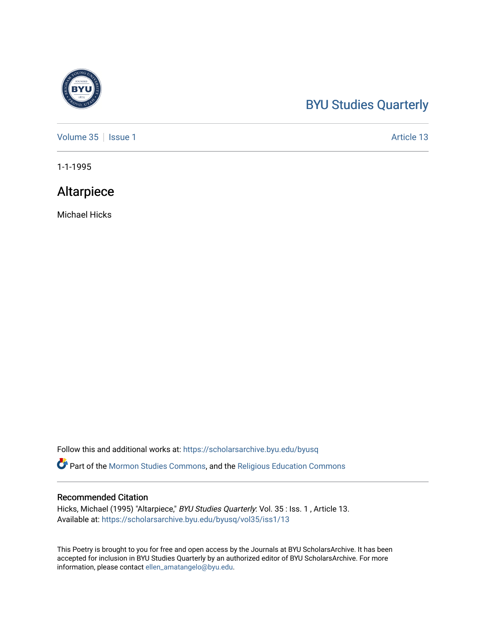### [BYU Studies Quarterly](https://scholarsarchive.byu.edu/byusq)

[Volume 35](https://scholarsarchive.byu.edu/byusq/vol35) | [Issue 1](https://scholarsarchive.byu.edu/byusq/vol35/iss1) Article 13

1-1-1995

### Altarpiece

Michael Hicks

Follow this and additional works at: [https://scholarsarchive.byu.edu/byusq](https://scholarsarchive.byu.edu/byusq?utm_source=scholarsarchive.byu.edu%2Fbyusq%2Fvol35%2Fiss1%2F13&utm_medium=PDF&utm_campaign=PDFCoverPages) 

Part of the [Mormon Studies Commons](http://network.bepress.com/hgg/discipline/1360?utm_source=scholarsarchive.byu.edu%2Fbyusq%2Fvol35%2Fiss1%2F13&utm_medium=PDF&utm_campaign=PDFCoverPages), and the [Religious Education Commons](http://network.bepress.com/hgg/discipline/1414?utm_source=scholarsarchive.byu.edu%2Fbyusq%2Fvol35%2Fiss1%2F13&utm_medium=PDF&utm_campaign=PDFCoverPages) 

### Recommended Citation

Hicks, Michael (1995) "Altarpiece," BYU Studies Quarterly: Vol. 35 : Iss. 1 , Article 13. Available at: [https://scholarsarchive.byu.edu/byusq/vol35/iss1/13](https://scholarsarchive.byu.edu/byusq/vol35/iss1/13?utm_source=scholarsarchive.byu.edu%2Fbyusq%2Fvol35%2Fiss1%2F13&utm_medium=PDF&utm_campaign=PDFCoverPages) 

This Poetry is brought to you for free and open access by the Journals at BYU ScholarsArchive. It has been accepted for inclusion in BYU Studies Quarterly by an authorized editor of BYU ScholarsArchive. For more information, please contact [ellen\\_amatangelo@byu.edu.](mailto:ellen_amatangelo@byu.edu)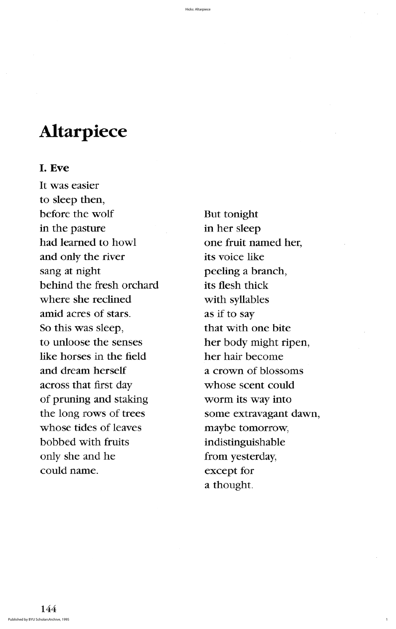a thought

# **Altarpiece**

# I. Eve

It was easier to sleep then before the wolf But tonight in the pasture in her sleep had learned to howl one fruit named her, and only the river its voice like sang at night peeling a branch, behind the fresh orchard its flesh thick where she reclined with syllables amid acres of stars. as if to say So this was sleep, that with one bite to unloose the senses her body might ripen, like horses in the field her hair become and dream herself a crown of blossoms across that first day whose scent could of pruning and staking worm its way into the long rows of trees some extravagant dawn, whose tides of leaves maybe tomorrow, bobbed with fruits indistinguishable only she and he from yesterday, could name. except for